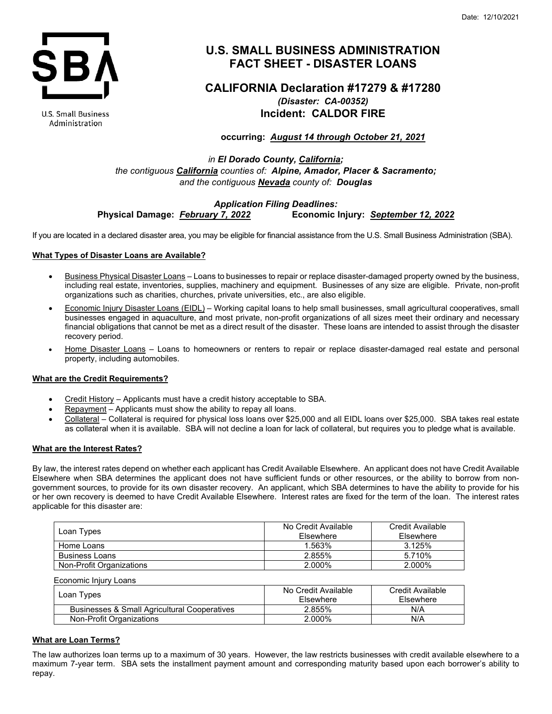

**U.S. Small Business** Administration

# **U.S. SMALL BUSINESS ADMINISTRATION FACT SHEET - DISASTER LOANS**

# **CALIFORNIA Declaration #17279 & #17280** *(Disaster: CA-00352)* **Incident: CALDOR FIRE**

**occurring:** *August 14 through October 21, 2021*

*in El Dorado County, California; the contiguous California counties of: Alpine, Amador, Placer & Sacramento; and the contiguous Nevada county of: Douglas*

## *Application Filing Deadlines:* **Physical Damage:** *February 7, 2022* **Economic Injury:** *September 12, 2022*

If you are located in a declared disaster area, you may be eligible for financial assistance from the U.S. Small Business Administration (SBA).

# **What Types of Disaster Loans are Available?**

- Business Physical Disaster Loans Loans to businesses to repair or replace disaster-damaged property owned by the business, including real estate, inventories, supplies, machinery and equipment. Businesses of any size are eligible. Private, non-profit organizations such as charities, churches, private universities, etc., are also eligible.
- Economic Injury Disaster Loans (EIDL) Working capital loans to help small businesses, small agricultural cooperatives, small businesses engaged in aquaculture, and most private, non-profit organizations of all sizes meet their ordinary and necessary financial obligations that cannot be met as a direct result of the disaster. These loans are intended to assist through the disaster recovery period.
- Home Disaster Loans Loans to homeowners or renters to repair or replace disaster-damaged real estate and personal property, including automobiles.

# **What are the Credit Requirements?**

- Credit History Applicants must have a credit history acceptable to SBA.
- Repayment Applicants must show the ability to repay all loans.
- Collateral Collateral is required for physical loss loans over \$25,000 and all EIDL loans over \$25,000. SBA takes real estate as collateral when it is available. SBA will not decline a loan for lack of collateral, but requires you to pledge what is available.

# **What are the Interest Rates?**

By law, the interest rates depend on whether each applicant has Credit Available Elsewhere. An applicant does not have Credit Available Elsewhere when SBA determines the applicant does not have sufficient funds or other resources, or the ability to borrow from nongovernment sources, to provide for its own disaster recovery. An applicant, which SBA determines to have the ability to provide for his or her own recovery is deemed to have Credit Available Elsewhere. Interest rates are fixed for the term of the loan. The interest rates applicable for this disaster are:

| Loan Types               | No Credit Available<br>Elsewhere | Credit Available<br>Elsewhere |
|--------------------------|----------------------------------|-------------------------------|
| Home Loans               | 1.563%                           | 3.125%                        |
| <b>Business Loans</b>    | 2.855%                           | 5.710%                        |
| Non-Profit Organizations | 2.000%                           | 2.000%                        |

| Economic Iniury Loans                        |                                         |                               |
|----------------------------------------------|-----------------------------------------|-------------------------------|
| Loan Types                                   | No Credit Available<br><b>Fisewhere</b> | Credit Available<br>Elsewhere |
| Businesses & Small Agricultural Cooperatives | 2.855%                                  | N/A                           |
| Non-Profit Organizations                     | 2.000%                                  | N/A                           |

# **What are Loan Terms?**

The law authorizes loan terms up to a maximum of 30 years. However, the law restricts businesses with credit available elsewhere to a maximum 7-year term. SBA sets the installment payment amount and corresponding maturity based upon each borrower's ability to repay.